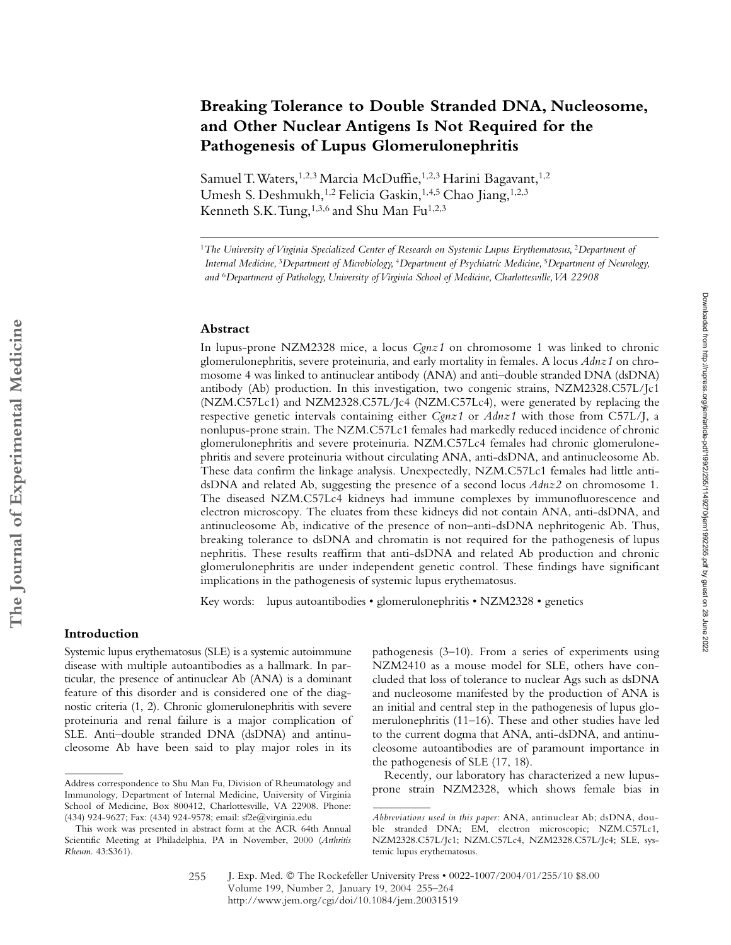# **Breaking Tolerance to Double Stranded DNA, Nucleosome, and Other Nuclear Antigens Is Not Required for the Pathogenesis of Lupus Glomerulonephritis**

Samuel T. Waters,<sup>1,2,3</sup> Marcia McDuffie,<sup>1,2,3</sup> Harini Bagavant,<sup>1,2</sup> Umesh S. Deshmukh,<sup>1,2</sup> Felicia Gaskin,<sup>1,4,5</sup> Chao Jiang,<sup>1,2,3</sup> Kenneth S.K. Tung,<sup>1,3,6</sup> and Shu Man Fu<sup>1,2,3</sup>

<sup>1</sup>The University of Virginia Specialized Center of Research on Systemic Lupus Erythematosus, <sup>2</sup>Department of *Internal Medicine,* <sup>3</sup>*Department of Microbiology,* <sup>4</sup>*Department of Psychiatric Medicine,* <sup>5</sup>*Department of Neurology, and* <sup>6</sup>*Department of Pathology, University of Virginia School of Medicine, Charlottesville, VA 22908*

## **Abstract**

In lupus-prone NZM2328 mice, a locus *Cgnz1* on chromosome 1 was linked to chronic glomerulonephritis, severe proteinuria, and early mortality in females. A locus *Adnz1* on chromosome 4 was linked to antinuclear antibody (ANA) and anti–double stranded DNA (dsDNA) antibody (Ab) production. In this investigation, two congenic strains, NZM2328.C57L/Jc1 (NZM.C57Lc1) and NZM2328.C57L/Jc4 (NZM.C57Lc4), were generated by replacing the respective genetic intervals containing either *Cgnz1* or *Adnz1* with those from C57L/J, a nonlupus-prone strain. The NZM.C57Lc1 females had markedly reduced incidence of chronic glomerulonephritis and severe proteinuria. NZM.C57Lc4 females had chronic glomerulonephritis and severe proteinuria without circulating ANA, anti-dsDNA, and antinucleosome Ab. These data confirm the linkage analysis. Unexpectedly, NZM.C57Lc1 females had little antidsDNA and related Ab, suggesting the presence of a second locus *Adnz2* on chromosome 1. The diseased NZM.C57Lc4 kidneys had immune complexes by immunofluorescence and electron microscopy. The eluates from these kidneys did not contain ANA, anti-dsDNA, and antinucleosome Ab, indicative of the presence of non–anti-dsDNA nephritogenic Ab. Thus, breaking tolerance to dsDNA and chromatin is not required for the pathogenesis of lupus nephritis. These results reaffirm that anti-dsDNA and related Ab production and chronic glomerulonephritis are under independent genetic control. These findings have significant implications in the pathogenesis of systemic lupus erythematosus.

Key words: lupus autoantibodies • glomerulonephritis • NZM2328 • genetics

## **Introduction**

Systemic lupus erythematosus (SLE) is a systemic autoimmune disease with multiple autoantibodies as a hallmark. In particular, the presence of antinuclear Ab (ANA) is a dominant feature of this disorder and is considered one of the diagnostic criteria (1, 2). Chronic glomerulonephritis with severe proteinuria and renal failure is a major complication of SLE. Anti–double stranded DNA (dsDNA) and antinucleosome Ab have been said to play major roles in its pathogenesis (3–10). From a series of experiments using NZM2410 as a mouse model for SLE, others have concluded that loss of tolerance to nuclear Ags such as dsDNA and nucleosome manifested by the production of ANA is an initial and central step in the pathogenesis of lupus glomerulonephritis (11–16). These and other studies have led to the current dogma that ANA, anti-dsDNA, and antinucleosome autoantibodies are of paramount importance in the pathogenesis of SLE (17, 18).

Recently, our laboratory has characterized a new lupus-Address correspondence to Shu Man Fu, Division of Rheumatology and<br>prone strain NZM2328, which shows female bias in

Immunology, Department of Internal Medicine, University of Virginia School of Medicine, Box 800412, Charlottesville, VA 22908. Phone: (434) 924-9627; Fax: (434) 924-9578; email: sf2e@virginia.edu

This work was presented in abstract form at the ACR 64th Annual Scientific Meeting at Philadelphia, PA in November, 2000 (*Arthritis Rheum.* 43:S361).

*Abbreviations used in this paper:* ANA, antinuclear Ab; dsDNA, double stranded DNA; EM, electron microscopic; NZM.C57Lc1, NZM2328.C57L/Jc1; NZM.C57Lc4, NZM2328.C57L/Jc4; SLE, systemic lupus erythematosus.

J. Exp. Med. © The Rockefeller University Press • 0022-1007/2004/01/255/10 \$8.00 Volume 199, Number 2, January 19, 2004 255–264 http://www.jem.org/cgi/doi/10.1084/jem.20031519 255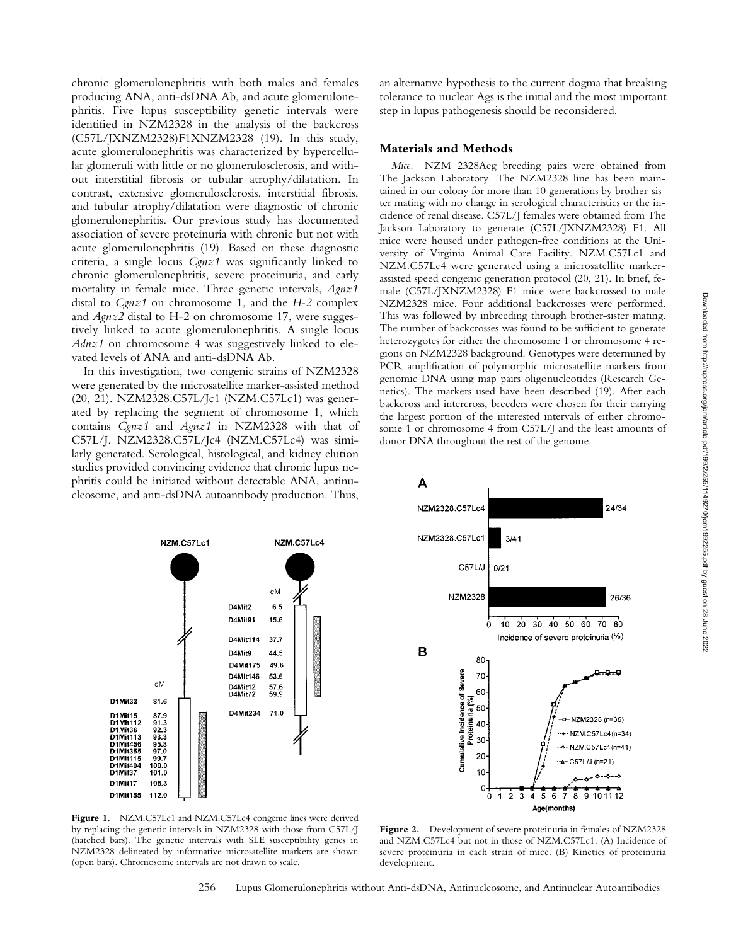chronic glomerulonephritis with both males and females producing ANA, anti-dsDNA Ab, and acute glomerulonephritis. Five lupus susceptibility genetic intervals were identified in NZM2328 in the analysis of the backcross (C57L/JXNZM2328)F1XNZM2328 (19). In this study, acute glomerulonephritis was characterized by hypercellular glomeruli with little or no glomerulosclerosis, and without interstitial fibrosis or tubular atrophy/dilatation. In contrast, extensive glomerulosclerosis, interstitial fibrosis, and tubular atrophy/dilatation were diagnostic of chronic glomerulonephritis. Our previous study has documented association of severe proteinuria with chronic but not with acute glomerulonephritis (19). Based on these diagnostic criteria, a single locus *Cgnz1* was significantly linked to chronic glomerulonephritis, severe proteinuria, and early mortality in female mice. Three genetic intervals, *Agnz1* distal to *Cgnz1* on chromosome 1, and the *H-2* complex and *Agnz2* distal to H-2 on chromosome 17, were suggestively linked to acute glomerulonephritis. A single locus *Adnz1* on chromosome 4 was suggestively linked to elevated levels of ANA and anti-dsDNA Ab.

In this investigation, two congenic strains of NZM2328 were generated by the microsatellite marker-assisted method (20, 21). NZM2328.C57L/Jc1 (NZM.C57Lc1) was generated by replacing the segment of chromosome 1, which contains *Cgnz1* and *Agnz1* in NZM2328 with that of C57L/J. NZM2328.C57L/Jc4 (NZM.C57Lc4) was similarly generated. Serological, histological, and kidney elution studies provided convincing evidence that chronic lupus nephritis could be initiated without detectable ANA, antinucleosome, and anti-dsDNA autoantibody production. Thus,

an alternative hypothesis to the current dogma that breaking tolerance to nuclear Ags is the initial and the most important step in lupus pathogenesis should be reconsidered.

## **Materials and Methods**

*Mice.* NZM 2328Aeg breeding pairs were obtained from The Jackson Laboratory. The NZM2328 line has been maintained in our colony for more than 10 generations by brother-sister mating with no change in serological characteristics or the incidence of renal disease. C57L/J females were obtained from The Jackson Laboratory to generate (C57L/JXNZM2328) F1. All mice were housed under pathogen-free conditions at the University of Virginia Animal Care Facility. NZM.C57Lc1 and NZM.C57Lc4 were generated using a microsatellite markerassisted speed congenic generation protocol (20, 21). In brief, female (C57L/JXNZM2328) F1 mice were backcrossed to male NZM2328 mice. Four additional backcrosses were performed. This was followed by inbreeding through brother-sister mating. The number of backcrosses was found to be sufficient to generate heterozygotes for either the chromosome 1 or chromosome 4 regions on NZM2328 background. Genotypes were determined by PCR amplification of polymorphic microsatellite markers from genomic DNA using map pairs oligonucleotides (Research Genetics). The markers used have been described (19). After each backcross and intercross, breeders were chosen for their carrying the largest portion of the interested intervals of either chromosome 1 or chromosome 4 from C57L/J and the least amounts of donor DNA throughout the rest of the genome.





**Figure 1.** NZM.C57Lc1 and NZM.C57Lc4 congenic lines were derived by replacing the genetic intervals in NZM2328 with those from C57L/J (hatched bars). The genetic intervals with SLE susceptibility genes in NZM2328 delineated by informative microsatellite markers are shown (open bars). Chromosome intervals are not drawn to scale.

**Figure 2.** Development of severe proteinuria in females of NZM2328 and NZM.C57Lc4 but not in those of NZM.C57Lc1. (A) Incidence of severe proteinuria in each strain of mice. (B) Kinetics of proteinuria development.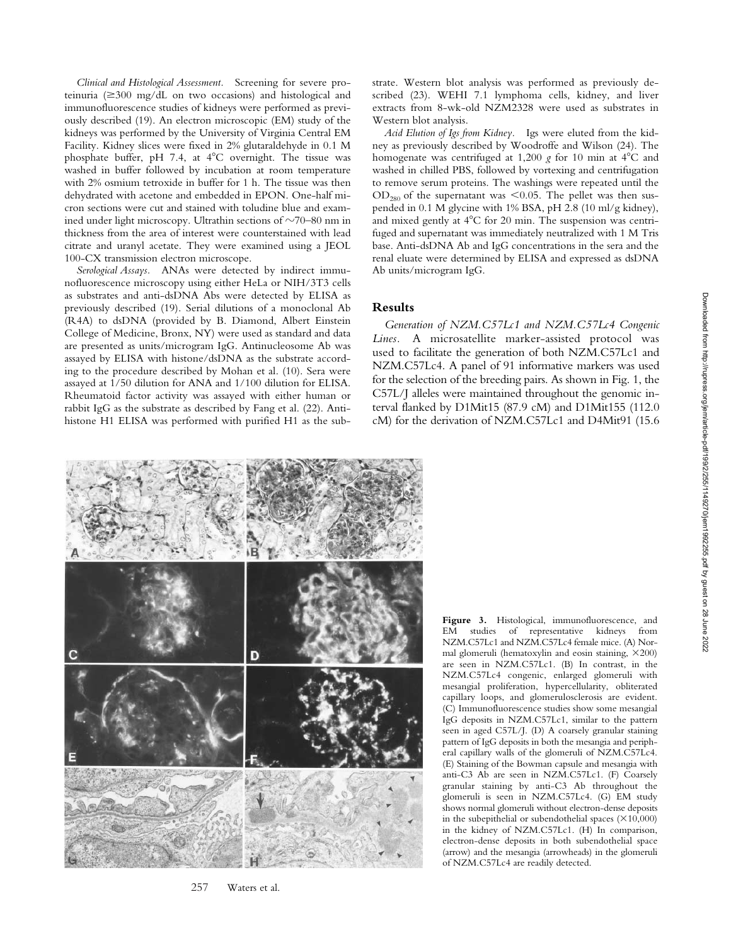*Clinical and Histological Assessment.* Screening for severe proteinuria (≥300 mg/dL on two occasions) and histological and immunofluorescence studies of kidneys were performed as previously described (19). An electron microscopic (EM) study of the kidneys was performed by the University of Virginia Central EM Facility. Kidney slices were fixed in 2% glutaraldehyde in 0.1 M phosphate buffer, pH 7.4, at  $4^{\circ}$ C overnight. The tissue was washed in buffer followed by incubation at room temperature with 2% osmium tetroxide in buffer for 1 h. The tissue was then dehydrated with acetone and embedded in EPON. One-half micron sections were cut and stained with toludine blue and examined under light microscopy. Ultrathin sections of  $\sim$ 70–80 nm in thickness from the area of interest were counterstained with lead citrate and uranyl acetate. They were examined using a JEOL 100-CX transmission electron microscope.

*Serological Assays.* ANAs were detected by indirect immunofluorescence microscopy using either HeLa or NIH/3T3 cells as substrates and anti-dsDNA Abs were detected by ELISA as previously described (19). Serial dilutions of a monoclonal Ab (R4A) to dsDNA (provided by B. Diamond, Albert Einstein College of Medicine, Bronx, NY) were used as standard and data are presented as units/microgram IgG. Antinucleosome Ab was assayed by ELISA with histone/dsDNA as the substrate according to the procedure described by Mohan et al. (10). Sera were assayed at 1/50 dilution for ANA and 1/100 dilution for ELISA. Rheumatoid factor activity was assayed with either human or rabbit IgG as the substrate as described by Fang et al. (22). Antihistone H1 ELISA was performed with purified H1 as the substrate. Western blot analysis was performed as previously described (23). WEHI 7.1 lymphoma cells, kidney, and liver extracts from 8-wk-old NZM2328 were used as substrates in Western blot analysis.

*Acid Elution of Igs from Kidney.* Igs were eluted from the kidney as previously described by Woodroffe and Wilson (24). The homogenate was centrifuged at 1,200  $g$  for 10 min at 4°C and washed in chilled PBS, followed by vortexing and centrifugation to remove serum proteins. The washings were repeated until the  $OD_{280}$  of the supernatant was <0.05. The pellet was then suspended in 0.1 M glycine with 1% BSA, pH 2.8 (10 ml/g kidney), and mixed gently at  $4^{\circ}$ C for 20 min. The suspension was centrifuged and supernatant was immediately neutralized with 1 M Tris base. Anti-dsDNA Ab and IgG concentrations in the sera and the renal eluate were determined by ELISA and expressed as dsDNA Ab units/microgram IgG.

## **Results**

*Generation of NZM.C57Lc1 and NZM.C57Lc4 Congenic Lines.* A microsatellite marker-assisted protocol was used to facilitate the generation of both NZM.C57Lc1 and NZM.C57Lc4. A panel of 91 informative markers was used for the selection of the breeding pairs. As shown in Fig. 1, the C57L/J alleles were maintained throughout the genomic interval flanked by D1Mit15 (87.9 cM) and D1Mit155 (112.0 cM) for the derivation of NZM.C57Lc1 and D4Mit91 (15.6



257 Waters et al.

**Figure 3.** Histological, immunofluorescence, and EM studies of representative kidneys from NZM.C57Lc1 and NZM.C57Lc4 female mice. (A) Normal glomeruli (hematoxylin and eosin staining,  $\times 200$ ) are seen in NZM.C57Lc1. (B) In contrast, in the NZM.C57Lc4 congenic, enlarged glomeruli with mesangial proliferation, hypercellularity, obliterated capillary loops, and glomerulosclerosis are evident. (C) Immunofluorescence studies show some mesangial IgG deposits in NZM.C57Lc1, similar to the pattern seen in aged C57L/J. (D) A coarsely granular staining pattern of IgG deposits in both the mesangia and peripheral capillary walls of the glomeruli of NZM.C57Lc4. (E) Staining of the Bowman capsule and mesangia with anti-C3 Ab are seen in NZM.C57Lc1. (F) Coarsely granular staining by anti-C3 Ab throughout the glomeruli is seen in NZM.C57Lc4. (G) EM study shows normal glomeruli without electron-dense deposits in the subepithelial or subendothelial spaces  $(\times 10,000)$ in the kidney of NZM.C57Lc1. (H) In comparison, electron-dense deposits in both subendothelial space (arrow) and the mesangia (arrowheads) in the glomeruli of NZM.C57Lc4 are readily detected.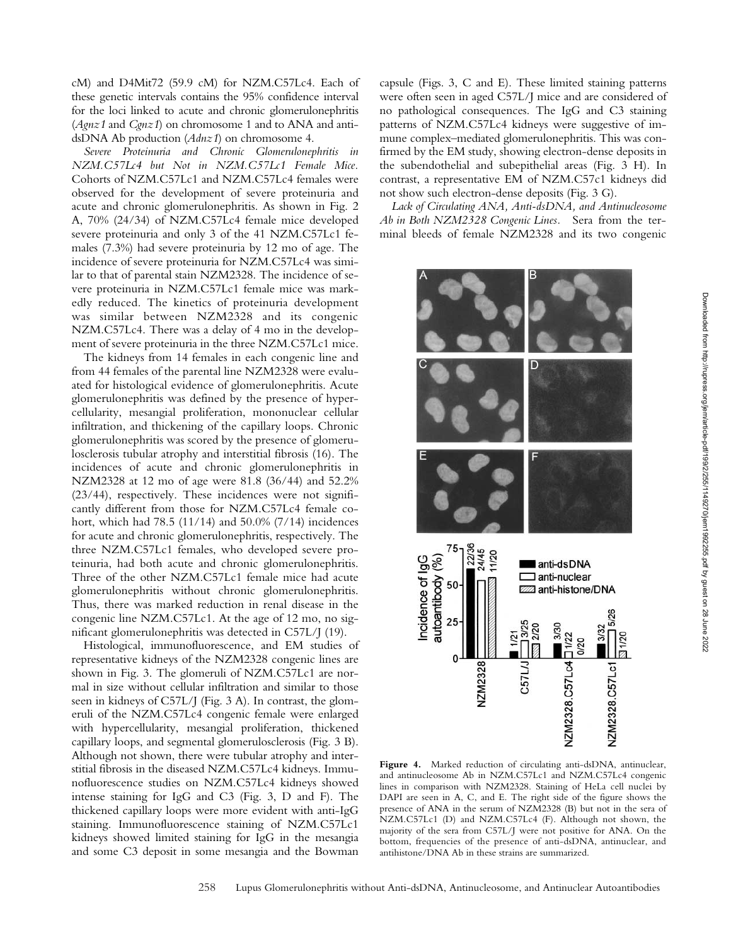cM) and D4Mit72 (59.9 cM) for NZM.C57Lc4. Each of these genetic intervals contains the 95% confidence interval for the loci linked to acute and chronic glomerulonephritis (*Agnz1* and *Cgnz1*) on chromosome 1 and to ANA and antidsDNA Ab production (*Adnz1*) on chromosome 4.

*Severe Proteinuria and Chronic Glomerulonephritis in NZM.C57Lc4 but Not in NZM.C57Lc1 Female Mice.* Cohorts of NZM.C57Lc1 and NZM.C57Lc4 females were observed for the development of severe proteinuria and acute and chronic glomerulonephritis. As shown in Fig. 2 A, 70% (24/34) of NZM.C57Lc4 female mice developed severe proteinuria and only 3 of the 41 NZM.C57Lc1 females (7.3%) had severe proteinuria by 12 mo of age. The incidence of severe proteinuria for NZM.C57Lc4 was similar to that of parental stain NZM2328. The incidence of severe proteinuria in NZM.C57Lc1 female mice was markedly reduced. The kinetics of proteinuria development was similar between NZM2328 and its congenic NZM.C57Lc4. There was a delay of 4 mo in the development of severe proteinuria in the three NZM.C57Lc1 mice.

The kidneys from 14 females in each congenic line and from 44 females of the parental line NZM2328 were evaluated for histological evidence of glomerulonephritis. Acute glomerulonephritis was defined by the presence of hypercellularity, mesangial proliferation, mononuclear cellular infiltration, and thickening of the capillary loops. Chronic glomerulonephritis was scored by the presence of glomerulosclerosis tubular atrophy and interstitial fibrosis (16). The incidences of acute and chronic glomerulonephritis in NZM2328 at 12 mo of age were 81.8 (36/44) and 52.2% (23/44), respectively. These incidences were not significantly different from those for NZM.C57Lc4 female cohort, which had 78.5 (11/14) and 50.0% (7/14) incidences for acute and chronic glomerulonephritis, respectively. The three NZM.C57Lc1 females, who developed severe proteinuria, had both acute and chronic glomerulonephritis. Three of the other NZM.C57Lc1 female mice had acute glomerulonephritis without chronic glomerulonephritis. Thus, there was marked reduction in renal disease in the congenic line NZM.C57Lc1. At the age of 12 mo, no significant glomerulonephritis was detected in C57L/J (19).

Histological, immunofluorescence, and EM studies of representative kidneys of the NZM2328 congenic lines are shown in Fig. 3. The glomeruli of NZM.C57Lc1 are normal in size without cellular infiltration and similar to those seen in kidneys of C57L/J (Fig. 3 A). In contrast, the glomeruli of the NZM.C57Lc4 congenic female were enlarged with hypercellularity, mesangial proliferation, thickened capillary loops, and segmental glomerulosclerosis (Fig. 3 B). Although not shown, there were tubular atrophy and interstitial fibrosis in the diseased NZM.C57Lc4 kidneys. Immunofluorescence studies on NZM.C57Lc4 kidneys showed intense staining for IgG and C3 (Fig. 3, D and F). The thickened capillary loops were more evident with anti-IgG staining. Immunofluorescence staining of NZM.C57Lc1 kidneys showed limited staining for IgG in the mesangia and some C3 deposit in some mesangia and the Bowman

capsule (Figs. 3, C and E). These limited staining patterns were often seen in aged C57L/J mice and are considered of no pathological consequences. The IgG and C3 staining patterns of NZM.C57Lc4 kidneys were suggestive of immune complex–mediated glomerulonephritis. This was confirmed by the EM study, showing electron-dense deposits in the subendothelial and subepithelial areas (Fig. 3 H). In contrast, a representative EM of NZM.C57c1 kidneys did not show such electron-dense deposits (Fig. 3 G).

*Lack of Circulating ANA, Anti-dsDNA, and Antinucleosome Ab in Both NZM2328 Congenic Lines.* Sera from the terminal bleeds of female NZM2328 and its two congenic



**Figure 4.** Marked reduction of circulating anti-dsDNA, antinuclear, and antinucleosome Ab in NZM.C57Lc1 and NZM.C57Lc4 congenic lines in comparison with NZM2328. Staining of HeLa cell nuclei by DAPI are seen in A, C, and E. The right side of the figure shows the presence of ANA in the serum of NZM2328 (B) but not in the sera of NZM.C57Lc1 (D) and NZM.C57Lc4 (F). Although not shown, the majority of the sera from C57L/J were not positive for ANA. On the bottom, frequencies of the presence of anti-dsDNA, antinuclear, and antihistone/DNA Ab in these strains are summarized.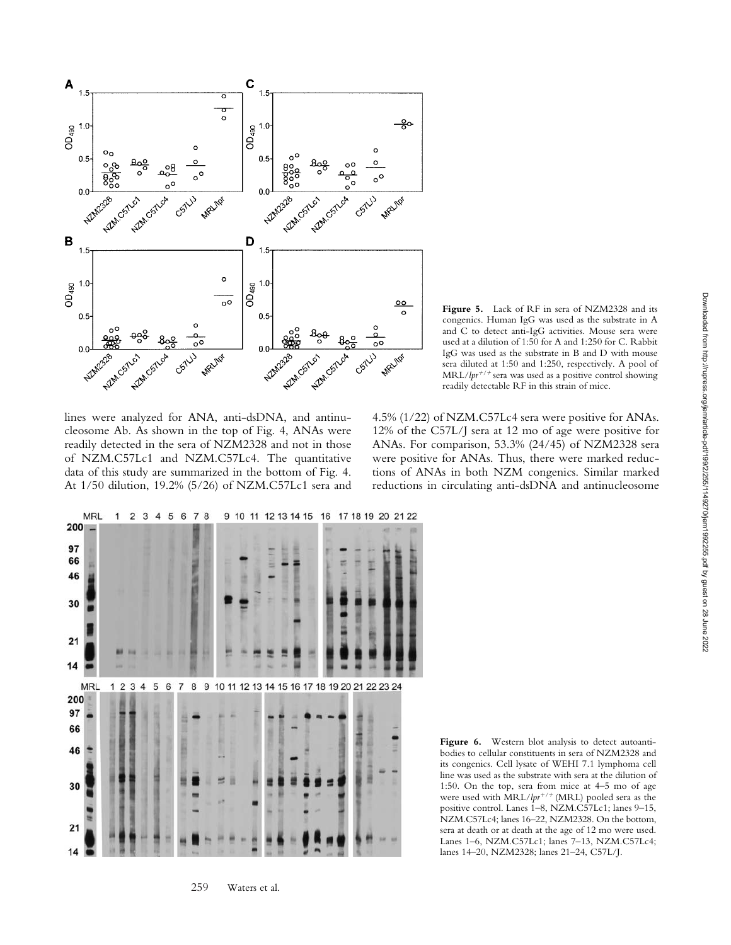

lines were analyzed for ANA, anti-dsDNA, and antinucleosome Ab. As shown in the top of Fig. 4, ANAs were readily detected in the sera of NZM2328 and not in those of NZM.C57Lc1 and NZM.C57Lc4. The quantitative data of this study are summarized in the bottom of Fig. 4. At 1/50 dilution, 19.2% (5/26) of NZM.C57Lc1 sera and



**Figure 5.** Lack of RF in sera of NZM2328 and its congenics. Human IgG was used as the substrate in A and C to detect anti-IgG activities. Mouse sera were used at a dilution of 1:50 for A and 1:250 for C. Rabbit IgG was used as the substrate in B and D with mouse sera diluted at 1:50 and 1:250, respectively. A pool of MRL/ $lpr^{+/+}$  sera was used as a positive control showing readily detectable RF in this strain of mice.

4.5% (1/22) of NZM.C57Lc4 sera were positive for ANAs. 12% of the C57L/J sera at 12 mo of age were positive for ANAs. For comparison, 53.3% (24/45) of NZM2328 sera were positive for ANAs. Thus, there were marked reductions of ANAs in both NZM congenics. Similar marked reductions in circulating anti-dsDNA and antinucleosome

Figure 6. Western blot analysis to detect autoantibodies to cellular constituents in sera of NZM2328 and its congenics. Cell lysate of WEHI 7.1 lymphoma cell line was used as the substrate with sera at the dilution of 1:50. On the top, sera from mice at 4–5 mo of age were used with MRL/*lpr<sup>+/+</sup>* (MRL) pooled sera as the positive control. Lanes 1–8, NZM.C57Lc1; lanes 9–15, NZM.C57Lc4; lanes 16–22, NZM2328. On the bottom, sera at death or at death at the age of 12 mo were used. Lanes 1–6, NZM.C57Lc1; lanes 7–13, NZM.C57Lc4; lanes 14–20, NZM2328; lanes 21–24, C57L/J.

259 Waters et al.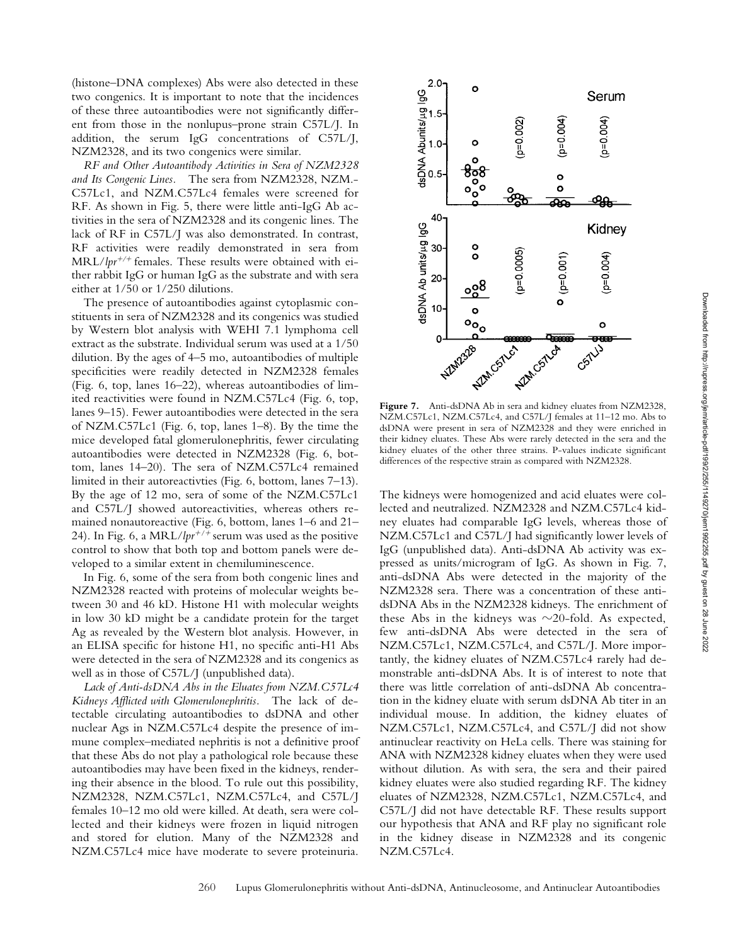(histone–DNA complexes) Abs were also detected in these two congenics. It is important to note that the incidences of these three autoantibodies were not significantly different from those in the nonlupus–prone strain C57L/J. In addition, the serum IgG concentrations of C57L/J, NZM2328, and its two congenics were similar.

*RF and Other Autoantibody Activities in Sera of NZM2328 and Its Congenic Lines.* The sera from NZM2328, NZM.- C57Lc1, and NZM.C57Lc4 females were screened for RF. As shown in Fig. 5, there were little anti-IgG Ab activities in the sera of NZM2328 and its congenic lines. The lack of RF in C57L/J was also demonstrated. In contrast, RF activities were readily demonstrated in sera from MRL/lpr<sup>+/+</sup> females. These results were obtained with either rabbit IgG or human IgG as the substrate and with sera either at 1/50 or 1/250 dilutions.

The presence of autoantibodies against cytoplasmic constituents in sera of NZM2328 and its congenics was studied by Western blot analysis with WEHI 7.1 lymphoma cell extract as the substrate. Individual serum was used at a 1/50 dilution. By the ages of 4–5 mo, autoantibodies of multiple specificities were readily detected in NZM2328 females (Fig. 6, top, lanes 16–22), whereas autoantibodies of limited reactivities were found in NZM.C57Lc4 (Fig. 6, top, lanes 9–15). Fewer autoantibodies were detected in the sera of NZM.C57Lc1 (Fig. 6, top, lanes 1–8). By the time the mice developed fatal glomerulonephritis, fewer circulating autoantibodies were detected in NZM2328 (Fig. 6, bottom, lanes 14–20). The sera of NZM.C57Lc4 remained limited in their autoreactivties (Fig. 6, bottom, lanes 7–13). By the age of 12 mo, sera of some of the NZM.C57Lc1 and C57L/J showed autoreactivities, whereas others remained nonautoreactive (Fig. 6, bottom, lanes 1–6 and 21– 24). In Fig. 6, a MRL/ $lpr^{+/+}$  serum was used as the positive control to show that both top and bottom panels were developed to a similar extent in chemiluminescence.

In Fig. 6, some of the sera from both congenic lines and NZM2328 reacted with proteins of molecular weights between 30 and 46 kD. Histone H1 with molecular weights in low 30 kD might be a candidate protein for the target Ag as revealed by the Western blot analysis. However, in an ELISA specific for histone H1, no specific anti-H1 Abs were detected in the sera of NZM2328 and its congenics as well as in those of C57L/J (unpublished data).

*Lack of Anti-dsDNA Abs in the Eluates from NZM.C57Lc4 Kidneys Afflicted with Glomerulonephritis.* The lack of detectable circulating autoantibodies to dsDNA and other nuclear Ags in NZM.C57Lc4 despite the presence of immune complex–mediated nephritis is not a definitive proof that these Abs do not play a pathological role because these autoantibodies may have been fixed in the kidneys, rendering their absence in the blood. To rule out this possibility, NZM2328, NZM.C57Lc1, NZM.C57Lc4, and C57L/J females 10–12 mo old were killed. At death, sera were collected and their kidneys were frozen in liquid nitrogen and stored for elution. Many of the NZM2328 and NZM.C57Lc4 mice have moderate to severe proteinuria.



Figure 7. Anti-dsDNA Ab in sera and kidney eluates from NZM2328, NZM.C57Lc1, NZM.C57Lc4, and C57L/J females at 11–12 mo. Abs to dsDNA were present in sera of NZM2328 and they were enriched in their kidney eluates. These Abs were rarely detected in the sera and the kidney eluates of the other three strains. P-values indicate significant differences of the respective strain as compared with NZM2328.

The kidneys were homogenized and acid eluates were collected and neutralized. NZM2328 and NZM.C57Lc4 kidney eluates had comparable IgG levels, whereas those of NZM.C57Lc1 and C57L/J had significantly lower levels of IgG (unpublished data). Anti-dsDNA Ab activity was expressed as units/microgram of IgG. As shown in Fig. 7, anti-dsDNA Abs were detected in the majority of the NZM2328 sera. There was a concentration of these antidsDNA Abs in the NZM2328 kidneys. The enrichment of these Abs in the kidneys was  $\sim$ 20-fold. As expected, few anti-dsDNA Abs were detected in the sera of NZM.C57Lc1, NZM.C57Lc4, and C57L/J. More importantly, the kidney eluates of NZM.C57Lc4 rarely had demonstrable anti-dsDNA Abs. It is of interest to note that there was little correlation of anti-dsDNA Ab concentration in the kidney eluate with serum dsDNA Ab titer in an individual mouse. In addition, the kidney eluates of NZM.C57Lc1, NZM.C57Lc4, and C57L/J did not show antinuclear reactivity on HeLa cells. There was staining for ANA with NZM2328 kidney eluates when they were used without dilution. As with sera, the sera and their paired kidney eluates were also studied regarding RF. The kidney eluates of NZM2328, NZM.C57Lc1, NZM.C57Lc4, and C57L/J did not have detectable RF. These results support our hypothesis that ANA and RF play no significant role in the kidney disease in NZM2328 and its congenic NZM.C57Lc4.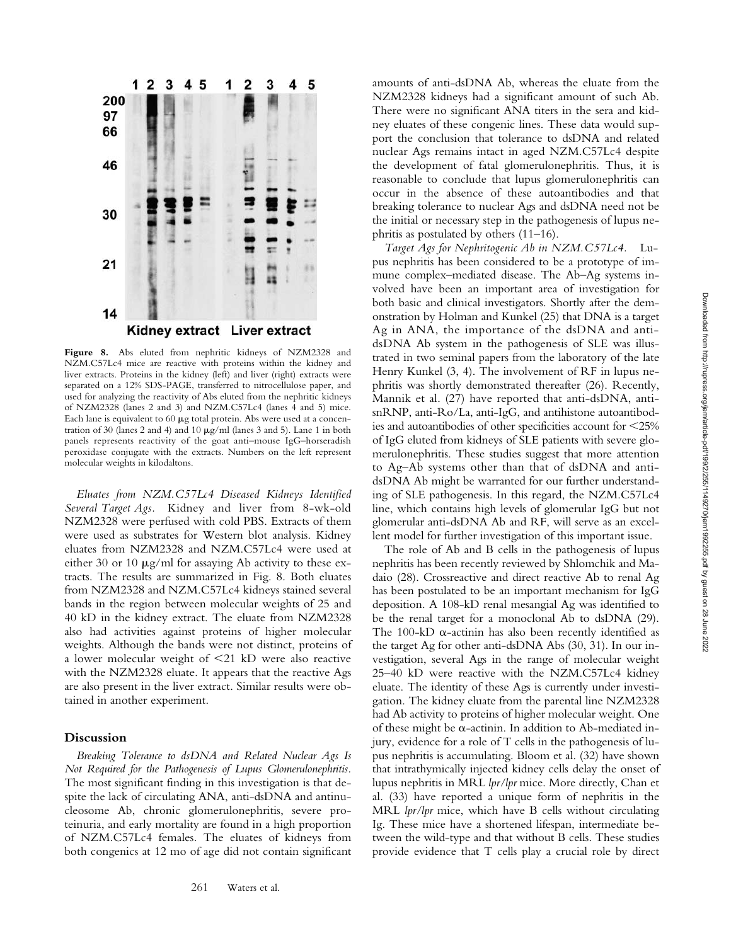

Figure 8. Abs eluted from nephritic kidneys of NZM2328 and NZM.C57Lc4 mice are reactive with proteins within the kidney and liver extracts. Proteins in the kidney (left) and liver (right) extracts were separated on a 12% SDS-PAGE, transferred to nitrocellulose paper, and used for analyzing the reactivity of Abs eluted from the nephritic kidneys of NZM2328 (lanes 2 and 3) and NZM.C57Lc4 (lanes 4 and 5) mice. Each lane is equivalent to  $60 \mu$ g total protein. Abs were used at a concentration of 30 (lanes 2 and 4) and 10  $\mu$ g/ml (lanes 3 and 5). Lane 1 in both panels represents reactivity of the goat anti–mouse IgG–horseradish peroxidase conjugate with the extracts. Numbers on the left represent molecular weights in kilodaltons.

*Eluates from NZM.C57Lc4 Diseased Kidneys Identified Several Target Ags.* Kidney and liver from 8-wk-old NZM2328 were perfused with cold PBS. Extracts of them were used as substrates for Western blot analysis. Kidney eluates from NZM2328 and NZM.C57Lc4 were used at either 30 or 10  $\mu$ g/ml for assaying Ab activity to these extracts. The results are summarized in Fig. 8. Both eluates from NZM2328 and NZM.C57Lc4 kidneys stained several bands in the region between molecular weights of 25 and 40 kD in the kidney extract. The eluate from NZM2328 also had activities against proteins of higher molecular weights. Although the bands were not distinct, proteins of a lower molecular weight of 21 kD were also reactive with the NZM2328 eluate. It appears that the reactive Ags are also present in the liver extract. Similar results were obtained in another experiment.

## **Discussion**

*Breaking Tolerance to dsDNA and Related Nuclear Ags Is Not Required for the Pathogenesis of Lupus Glomerulonephritis.* The most significant finding in this investigation is that despite the lack of circulating ANA, anti-dsDNA and antinucleosome Ab, chronic glomerulonephritis, severe proteinuria, and early mortality are found in a high proportion of NZM.C57Lc4 females. The eluates of kidneys from both congenics at 12 mo of age did not contain significant amounts of anti-dsDNA Ab, whereas the eluate from the NZM2328 kidneys had a significant amount of such Ab. There were no significant ANA titers in the sera and kidney eluates of these congenic lines. These data would support the conclusion that tolerance to dsDNA and related nuclear Ags remains intact in aged NZM.C57Lc4 despite the development of fatal glomerulonephritis. Thus, it is reasonable to conclude that lupus glomerulonephritis can occur in the absence of these autoantibodies and that breaking tolerance to nuclear Ags and dsDNA need not be the initial or necessary step in the pathogenesis of lupus nephritis as postulated by others (11–16).

*Target Ags for Nephritogenic Ab in NZM.C57Lc4.* Lupus nephritis has been considered to be a prototype of immune complex–mediated disease. The Ab–Ag systems involved have been an important area of investigation for both basic and clinical investigators. Shortly after the demonstration by Holman and Kunkel (25) that DNA is a target Ag in ANA, the importance of the dsDNA and antidsDNA Ab system in the pathogenesis of SLE was illustrated in two seminal papers from the laboratory of the late Henry Kunkel (3, 4). The involvement of RF in lupus nephritis was shortly demonstrated thereafter (26). Recently, Mannik et al. (27) have reported that anti-dsDNA, antisnRNP, anti-Ro/La, anti-IgG, and antihistone autoantibodies and autoantibodies of other specificities account for 25% of IgG eluted from kidneys of SLE patients with severe glomerulonephritis. These studies suggest that more attention to Ag–Ab systems other than that of dsDNA and antidsDNA Ab might be warranted for our further understanding of SLE pathogenesis. In this regard, the NZM.C57Lc4 line, which contains high levels of glomerular IgG but not glomerular anti-dsDNA Ab and RF, will serve as an excellent model for further investigation of this important issue.

The role of Ab and B cells in the pathogenesis of lupus nephritis has been recently reviewed by Shlomchik and Madaio (28). Crossreactive and direct reactive Ab to renal Ag has been postulated to be an important mechanism for IgG deposition. A 108-kD renal mesangial Ag was identified to be the renal target for a monoclonal Ab to dsDNA (29). The 100-kD  $\alpha$ -actinin has also been recently identified as the target Ag for other anti-dsDNA Abs (30, 31). In our investigation, several Ags in the range of molecular weight 25–40 kD were reactive with the NZM.C57Lc4 kidney eluate. The identity of these Ags is currently under investigation. The kidney eluate from the parental line NZM2328 had Ab activity to proteins of higher molecular weight. One of these might be  $\alpha$ -actinin. In addition to Ab-mediated injury, evidence for a role of T cells in the pathogenesis of lupus nephritis is accumulating. Bloom et al. (32) have shown that intrathymically injected kidney cells delay the onset of lupus nephritis in MRL *lpr/lpr* mice. More directly, Chan et al. (33) have reported a unique form of nephritis in the MRL *lpr/lpr* mice, which have B cells without circulating Ig. These mice have a shortened lifespan, intermediate between the wild-type and that without B cells. These studies provide evidence that T cells play a crucial role by direct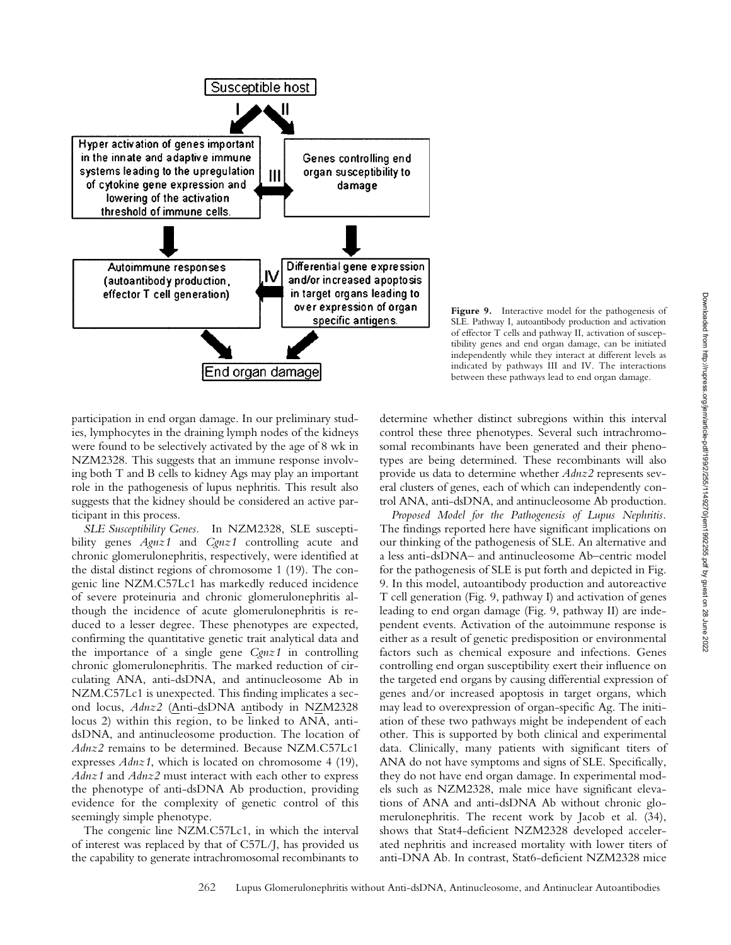

**Figure 9.** Interactive model for the pathogenesis of SLE. Pathway I, autoantibody production and activation of effector T cells and pathway II, activation of susceptibility genes and end organ damage, can be initiated independently while they interact at different levels as indicated by pathways III and IV. The interactions between these pathways lead to end organ damage.

participation in end organ damage. In our preliminary studies, lymphocytes in the draining lymph nodes of the kidneys were found to be selectively activated by the age of 8 wk in NZM2328. This suggests that an immune response involving both T and B cells to kidney Ags may play an important role in the pathogenesis of lupus nephritis. This result also suggests that the kidney should be considered an active participant in this process.

*SLE Susceptibility Genes.* In NZM2328, SLE susceptibility genes *Agnz1* and *Cgnz1* controlling acute and chronic glomerulonephritis, respectively, were identified at the distal distinct regions of chromosome 1 (19). The congenic line NZM.C57Lc1 has markedly reduced incidence of severe proteinuria and chronic glomerulonephritis although the incidence of acute glomerulonephritis is reduced to a lesser degree. These phenotypes are expected, confirming the quantitative genetic trait analytical data and the importance of a single gene *Cgnz1* in controlling chronic glomerulonephritis. The marked reduction of circulating ANA, anti-dsDNA, and antinucleosome Ab in NZM.C57Lc1 is unexpected. This finding implicates a second locus, *Adnz2* (Anti-dsDNA antibody in NZM2328 locus 2) within this region, to be linked to ANA, antidsDNA, and antinucleosome production. The location of *Adnz2* remains to be determined. Because NZM.C57Lc1 expresses *Adnz1*, which is located on chromosome 4 (19), *Adnz1* and *Adnz2* must interact with each other to express the phenotype of anti-dsDNA Ab production, providing evidence for the complexity of genetic control of this seemingly simple phenotype.

The congenic line NZM.C57Lc1, in which the interval of interest was replaced by that of C57L/J, has provided us the capability to generate intrachromosomal recombinants to

determine whether distinct subregions within this interval control these three phenotypes. Several such intrachromosomal recombinants have been generated and their phenotypes are being determined. These recombinants will also provide us data to determine whether *Adnz2* represents several clusters of genes, each of which can independently control ANA, anti-dsDNA, and antinucleosome Ab production.

*Proposed Model for the Pathogenesis of Lupus Nephritis.* The findings reported here have significant implications on our thinking of the pathogenesis of SLE. An alternative and a less anti-dsDNA– and antinucleosome Ab–centric model for the pathogenesis of SLE is put forth and depicted in Fig. 9. In this model, autoantibody production and autoreactive T cell generation (Fig. 9, pathway I) and activation of genes leading to end organ damage (Fig. 9, pathway II) are independent events. Activation of the autoimmune response is either as a result of genetic predisposition or environmental factors such as chemical exposure and infections. Genes controlling end organ susceptibility exert their influence on the targeted end organs by causing differential expression of genes and/or increased apoptosis in target organs, which may lead to overexpression of organ-specific Ag. The initiation of these two pathways might be independent of each other. This is supported by both clinical and experimental data. Clinically, many patients with significant titers of ANA do not have symptoms and signs of SLE. Specifically, they do not have end organ damage. In experimental models such as NZM2328, male mice have significant elevations of ANA and anti-dsDNA Ab without chronic glomerulonephritis. The recent work by Jacob et al. (34), shows that Stat4-deficient NZM2328 developed accelerated nephritis and increased mortality with lower titers of anti-DNA Ab. In contrast, Stat6-deficient NZM2328 mice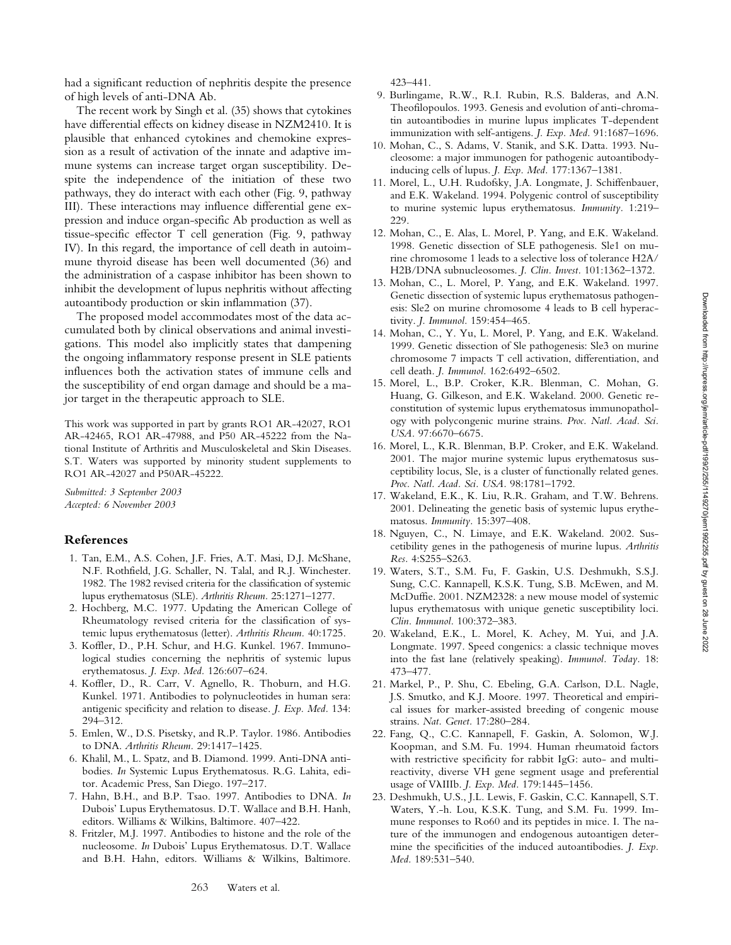had a significant reduction of nephritis despite the presence of high levels of anti-DNA Ab.

The recent work by Singh et al. (35) shows that cytokines have differential effects on kidney disease in NZM2410. It is plausible that enhanced cytokines and chemokine expression as a result of activation of the innate and adaptive immune systems can increase target organ susceptibility. Despite the independence of the initiation of these two pathways, they do interact with each other (Fig. 9, pathway III). These interactions may influence differential gene expression and induce organ-specific Ab production as well as tissue-specific effector T cell generation (Fig. 9, pathway IV). In this regard, the importance of cell death in autoimmune thyroid disease has been well documented (36) and the administration of a caspase inhibitor has been shown to inhibit the development of lupus nephritis without affecting autoantibody production or skin inflammation (37).

The proposed model accommodates most of the data accumulated both by clinical observations and animal investigations. This model also implicitly states that dampening the ongoing inflammatory response present in SLE patients influences both the activation states of immune cells and the susceptibility of end organ damage and should be a major target in the therapeutic approach to SLE.

This work was supported in part by grants RO1 AR-42027, RO1 AR-42465, RO1 AR-47988, and P50 AR-45222 from the National Institute of Arthritis and Musculoskeletal and Skin Diseases. S.T. Waters was supported by minority student supplements to RO1 AR-42027 and P50AR-45222.

*Submitted: 3 September 2003 Accepted: 6 November 2003*

### **References**

- 1. Tan, E.M., A.S. Cohen, J.F. Fries, A.T. Masi, D.J. McShane, N.F. Rothfield, J.G. Schaller, N. Talal, and R.J. Winchester. 1982. The 1982 revised criteria for the classification of systemic lupus erythematosus (SLE). *Arthritis Rheum.* 25:1271–1277.
- 2. Hochberg, M.C. 1977. Updating the American College of Rheumatology revised criteria for the classification of systemic lupus erythematosus (letter). *Arthritis Rheum.* 40:1725.
- 3. Koffler, D., P.H. Schur, and H.G. Kunkel. 1967. Immunological studies concerning the nephritis of systemic lupus erythematosus. *J. Exp. Med.* 126:607–624.
- 4. Koffler, D., R. Carr, V. Agnello, R. Thoburn, and H.G. Kunkel. 1971. Antibodies to polynucleotides in human sera: antigenic specificity and relation to disease. *J. Exp. Med.* 134: 294–312.
- 5. Emlen, W., D.S. Pisetsky, and R.P. Taylor. 1986. Antibodies to DNA. *Arthritis Rheum.* 29:1417–1425.
- 6. Khalil, M., L. Spatz, and B. Diamond. 1999. Anti-DNA antibodies. *In* Systemic Lupus Erythematosus. R.G. Lahita, editor. Academic Press, San Diego. 197–217.
- 7. Hahn, B.H., and B.P. Tsao. 1997. Antibodies to DNA. *In* Dubois' Lupus Erythematosus. D.T. Wallace and B.H. Hanh, editors. Williams & Wilkins, Baltimore. 407–422.
- 8. Fritzler, M.J. 1997. Antibodies to histone and the role of the nucleosome. *In* Dubois' Lupus Erythematosus. D.T. Wallace and B.H. Hahn, editors. Williams & Wilkins, Baltimore.

423–441.

- 9. Burlingame, R.W., R.I. Rubin, R.S. Balderas, and A.N. Theofilopoulos. 1993. Genesis and evolution of anti-chromatin autoantibodies in murine lupus implicates T-dependent immunization with self-antigens. *J. Exp. Med.* 91:1687–1696.
- 10. Mohan, C., S. Adams, V. Stanik, and S.K. Datta. 1993. Nucleosome: a major immunogen for pathogenic autoantibodyinducing cells of lupus. *J. Exp. Med.* 177:1367–1381.
- 11. Morel, L., U.H. Rudofsky, J.A. Longmate, J. Schiffenbauer, and E.K. Wakeland. 1994. Polygenic control of susceptibility to murine systemic lupus erythematosus. *Immunity.* 1:219– 229.
- 12. Mohan, C., E. Alas, L. Morel, P. Yang, and E.K. Wakeland. 1998. Genetic dissection of SLE pathogenesis. Sle1 on murine chromosome 1 leads to a selective loss of tolerance H2A/ H2B/DNA subnucleosomes. *J. Clin. Invest.* 101:1362–1372.
- 13. Mohan, C., L. Morel, P. Yang, and E.K. Wakeland. 1997. Genetic dissection of systemic lupus erythematosus pathogenesis: Sle2 on murine chromosome 4 leads to B cell hyperactivity. *J. Immunol.* 159:454–465.
- 14. Mohan, C., Y. Yu, L. Morel, P. Yang, and E.K. Wakeland. 1999. Genetic dissection of Sle pathogenesis: Sle3 on murine chromosome 7 impacts T cell activation, differentiation, and cell death. *J. Immunol.* 162:6492–6502.
- 15. Morel, L., B.P. Croker, K.R. Blenman, C. Mohan, G. Huang, G. Gilkeson, and E.K. Wakeland. 2000. Genetic reconstitution of systemic lupus erythematosus immunopathology with polycongenic murine strains. *Proc. Natl. Acad. Sci. USA.* 97:6670–6675.
- 16. Morel, L., K.R. Blenman, B.P. Croker, and E.K. Wakeland. 2001. The major murine systemic lupus erythematosus susceptibility locus, Sle, is a cluster of functionally related genes. *Proc. Natl. Acad. Sci. USA.* 98:1781–1792.
- 17. Wakeland, E.K., K. Liu, R.R. Graham, and T.W. Behrens. 2001. Delineating the genetic basis of systemic lupus erythematosus. *Immunity.* 15:397–408.
- 18. Nguyen, C., N. Limaye, and E.K. Wakeland. 2002. Suscetibility genes in the pathogenesis of murine lupus. *Arthritis Res.* 4:S255–S263.
- 19. Waters, S.T., S.M. Fu, F. Gaskin, U.S. Deshmukh, S.S.J. Sung, C.C. Kannapell, K.S.K. Tung, S.B. McEwen, and M. McDuffie. 2001. NZM2328: a new mouse model of systemic lupus erythematosus with unique genetic susceptibility loci. *Clin. Immunol.* 100:372–383.
- 20. Wakeland, E.K., L. Morel, K. Achey, M. Yui, and J.A. Longmate. 1997. Speed congenics: a classic technique moves into the fast lane (relatively speaking). *Immunol. Today.* 18: 473–477.
- 21. Markel, P., P. Shu, C. Ebeling, G.A. Carlson, D.L. Nagle, J.S. Smutko, and K.J. Moore. 1997. Theoretical and empirical issues for marker-assisted breeding of congenic mouse strains. *Nat. Genet.* 17:280–284.
- 22. Fang, Q., C.C. Kannapell, F. Gaskin, A. Solomon, W.J. Koopman, and S.M. Fu. 1994. Human rheumatoid factors with restrictive specificity for rabbit IgG: auto- and multireactivity, diverse VH gene segment usage and preferential usage of V IIIb. *J. Exp. Med.* 179:1445–1456.
- 23. Deshmukh, U.S., J.L. Lewis, F. Gaskin, C.C. Kannapell, S.T. Waters, Y.-h. Lou, K.S.K. Tung, and S.M. Fu. 1999. Immune responses to Ro60 and its peptides in mice. I. The nature of the immunogen and endogenous autoantigen determine the specificities of the induced autoantibodies. *J. Exp. Med.* 189:531–540.